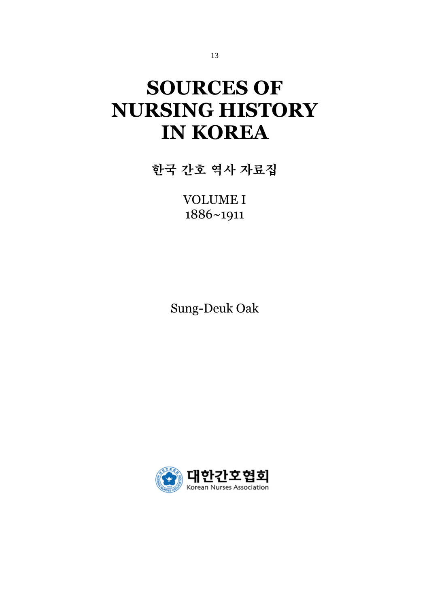# **SOURCES OF NURSING HISTORY IN KOREA**

한국 간호 역사 자료집

VOLUME I 1886~1911

Sung-Deuk Oak

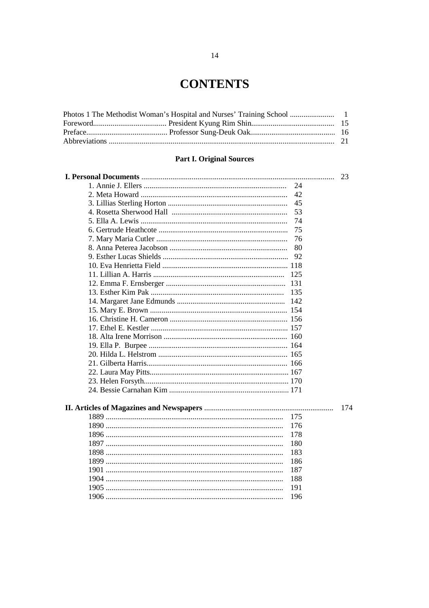### **CONTENTS**

### **Part I. Original Sources**

| 45  |     |  |
|-----|-----|--|
| 53  |     |  |
| 74  |     |  |
| 75  |     |  |
| 76  |     |  |
| 80  |     |  |
| 92  |     |  |
|     |     |  |
| 125 |     |  |
|     |     |  |
| 135 |     |  |
|     |     |  |
|     |     |  |
|     |     |  |
|     |     |  |
|     |     |  |
|     |     |  |
|     |     |  |
|     |     |  |
|     |     |  |
|     |     |  |
|     |     |  |
|     |     |  |
|     | 174 |  |
| 175 |     |  |
| 176 |     |  |
| 178 |     |  |
| 180 |     |  |
| 183 |     |  |
| 186 |     |  |
| 187 |     |  |
| 188 |     |  |
| 191 |     |  |
| 196 |     |  |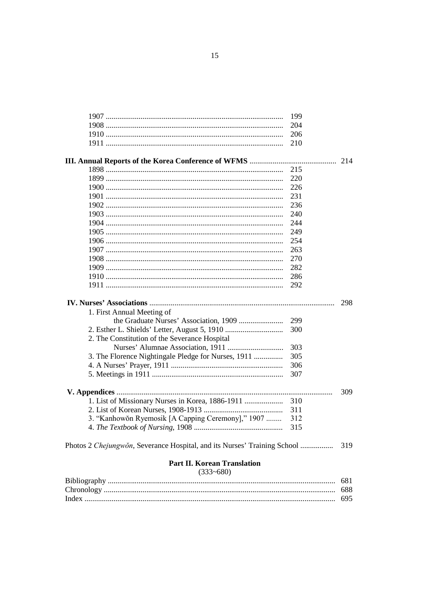|                                                                          | 199 |     |
|--------------------------------------------------------------------------|-----|-----|
|                                                                          | 204 |     |
|                                                                          | 206 |     |
|                                                                          | 210 |     |
|                                                                          |     |     |
|                                                                          | 215 |     |
|                                                                          | 220 |     |
|                                                                          | 226 |     |
|                                                                          | 231 |     |
|                                                                          | 236 |     |
|                                                                          | 240 |     |
|                                                                          | 244 |     |
|                                                                          | 249 |     |
|                                                                          | 254 |     |
|                                                                          | 263 |     |
|                                                                          | 270 |     |
|                                                                          | 282 |     |
|                                                                          | 286 |     |
|                                                                          | 292 |     |
|                                                                          |     |     |
|                                                                          |     | 298 |
| 1. First Annual Meeting of                                               |     |     |
|                                                                          | 299 |     |
|                                                                          | 300 |     |
| 2. The Constitution of the Severance Hospital                            |     |     |
|                                                                          | 303 |     |
| 3. The Florence Nightingale Pledge for Nurses, 1911                      | 305 |     |
|                                                                          | 306 |     |
|                                                                          | 307 |     |
|                                                                          |     | 309 |
| 1. List of Missionary Nurses in Korea, 1886-1911                         | 310 |     |
|                                                                          | 311 |     |
| 3. "Kanhowŏn Ryemosik [A Capping Ceremony]," 1907                        | 312 |     |
|                                                                          | 315 |     |
|                                                                          |     |     |
| Photos 2 Chejungwŏn, Severance Hospital, and its Nurses' Training School |     | 319 |
|                                                                          |     |     |

# Part II. Korean Translation<br>(333~680)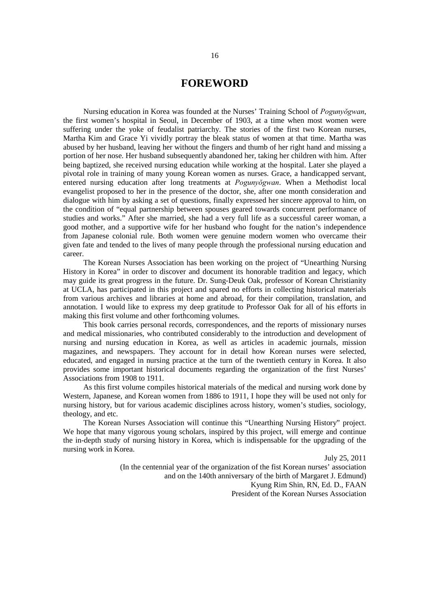#### **FOREWORD**

Nursing education in Korea was founded at the Nurses' Training School of *Pogunyŏgwan*, the first women's hospital in Seoul, in December of 1903, at a time when most women were suffering under the yoke of feudalist patriarchy. The stories of the first two Korean nurses, Martha Kim and Grace Yi vividly portray the bleak status of women at that time. Martha was abused by her husband, leaving her without the fingers and thumb of her right hand and missing a portion of her nose. Her husband subsequently abandoned her, taking her children with him. After being baptized, she received nursing education while working at the hospital. Later she played a pivotal role in training of many young Korean women as nurses. Grace, a handicapped servant, entered nursing education after long treatments at *Pogunyŏgwan*. When a Methodist local evangelist proposed to her in the presence of the doctor, she, after one month consideration and dialogue with him by asking a set of questions, finally expressed her sincere approval to him, on the condition of "equal partnership between spouses geared towards concurrent performance of studies and works." After she married, she had a very full life as a successful career woman, a good mother, and a supportive wife for her husband who fought for the nation's independence from Japanese colonial rule. Both women were genuine modern women who overcame their given fate and tended to the lives of many people through the professional nursing education and career.

The Korean Nurses Association has been working on the project of "Unearthing Nursing History in Korea" in order to discover and document its honorable tradition and legacy, which may guide its great progress in the future. Dr. Sung-Deuk Oak, professor of Korean Christianity at UCLA, has participated in this project and spared no efforts in collecting historical materials from various archives and libraries at home and abroad, for their compilation, translation, and annotation. I would like to express my deep gratitude to Professor Oak for all of his efforts in making this first volume and other forthcoming volumes.

This book carries personal records, correspondences, and the reports of missionary nurses and medical missionaries, who contributed considerably to the introduction and development of nursing and nursing education in Korea, as well as articles in academic journals, mission magazines, and newspapers. They account for in detail how Korean nurses were selected, educated, and engaged in nursing practice at the turn of the twentieth century in Korea. It also provides some important historical documents regarding the organization of the first Nurses' Associations from 1908 to 1911.

As this first volume compiles historical materials of the medical and nursing work done by Western, Japanese, and Korean women from 1886 to 1911, I hope they will be used not only for nursing history, but for various academic disciplines across history, women's studies, sociology, theology, and etc.

The Korean Nurses Association will continue this "Unearthing Nursing History" project. We hope that many vigorous young scholars, inspired by this project, will emerge and continue the in-depth study of nursing history in Korea, which is indispensable for the upgrading of the nursing work in Korea.

> July 25, 2011 (In the centennial year of the organization of the fist Korean nurses' association and on the 140th anniversary of the birth of Margaret J. Edmund) Kyung Rim Shin, RN, Ed. D., FAAN President of the Korean Nurses Association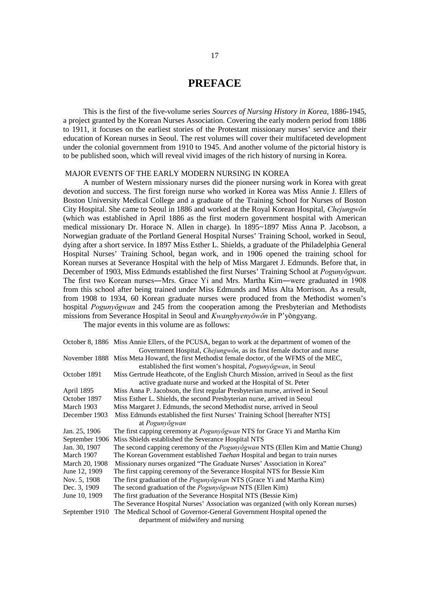#### **PREFACE**

This is the first of the five-volume series *Sources of Nursing History in Korea*, 1886-1945, a project granted by the Korean Nurses Association. Covering the early modern period from 1886 to 1911, it focuses on the earliest stories of the Protestant missionary nurses' service and their education of Korean nurses in Seoul. The rest volumes will cover their multifaceted development under the colonial government from 1910 to 1945. And another volume of the pictorial history is to be published soon, which will reveal vivid images of the rich history of nursing in Korea.

#### MAJOR EVENTS OF THE EARLY MODERN NURSING IN KOREA

A number of Western missionary nurses did the pioneer nursing work in Korea with great devotion and success. The first foreign nurse who worked in Korea was Miss Annie J. Ellers of Boston University Medical College and a graduate of the Training School for Nurses of Boston City Hospital. She came to Seoul in 1886 and worked at the Royal Korean Hospital, *Chejungwŏn* (which was established in April 1886 as the first modern government hospital with American medical missionary Dr. Horace N. Allen in charge). In 1895~1897 Miss Anna P. Jacobson, a Norwegian graduate of the Portland General Hospital Nurses' Training School, worked in Seoul, dying after a short service. In 1897 Miss Esther L. Shields, a graduate of the Philadelphia General Hospital Nurses' Training School, began work, and in 1906 opened the training school for Korean nurses at Severance Hospital with the help of Miss Margaret J. Edmunds. Before that, in December of 1903, Miss Edmunds established the first Nurses' Training School at *Pogunyŏgwan*. The first two Korean nurses―Mrs. Grace Yi and Mrs. Martha Kim―were graduated in 1908 from this school after being trained under Miss Edmunds and Miss Alta Morrison. As a result, from 1908 to 1934, 60 Korean graduate nurses were produced from the Methodist women's hospital *Pogunyŏgwan* and 245 from the cooperation among the Presbyterian and Methodists missions from Severance Hospital in Seoul and *Kwanghyenyŏwŏn* in P'yŏngyang.

The major events in this volume are as follows:

|                | October 8, 1886 Miss Annie Ellers, of the PCUSA, began to work at the department of women of the |
|----------------|--------------------------------------------------------------------------------------------------|
|                | Government Hospital, Chejungwŏn, as its first female doctor and nurse                            |
|                | November 1888 Miss Meta Howard, the first Methodist female doctor, of the WFMS of the MEC,       |
|                | established the first women's hospital, <i>Pogunyogwan</i> , in Seoul                            |
| October 1891   | Miss Gertrude Heathcote, of the English Church Mission, arrived in Seoul as the first            |
|                | active graduate nurse and worked at the Hospital of St. Peter                                    |
| April 1895     | Miss Anna P. Jacobson, the first regular Presbyterian nurse, arrived in Seoul                    |
| October 1897   | Miss Esther L. Shields, the second Presbyterian nurse, arrived in Seoul                          |
| March 1903     | Miss Margaret J. Edmunds, the second Methodist nurse, arrived in Seoul                           |
| December 1903  | Miss Edmunds established the first Nurses' Training School [hereafter NTS]                       |
|                | at Pogunyŏgwan                                                                                   |
| Jan. 25, 1906  | The first capping ceremony at <i>Pogunyogwan</i> NTS for Grace Yi and Martha Kim                 |
| September 1906 | Miss Shields established the Severance Hospital NTS                                              |
| Jan. 30, 1907  | The second capping ceremony of the <i>Pogunyogwan</i> NTS (Ellen Kim and Mattie Chung)           |
| March 1907     | The Korean Government established Taehan Hospital and began to train nurses                      |
| March 20, 1908 | Missionary nurses organized "The Graduate Nurses' Association in Korea"                          |
| June 12, 1909  | The first capping ceremony of the Severance Hospital NTS for Bessie Kim                          |
| Nov. 5, 1908   | The first graduation of the <i>Pogunyogwan</i> NTS (Grace Yi and Martha Kim)                     |
| Dec. 3, 1909   | The second graduation of the <i>Pogunyogwan</i> NTS (Ellen Kim)                                  |
| June 10, 1909  | The first graduation of the Severance Hospital NTS (Bessie Kim)                                  |
|                | The Severance Hospital Nurses' Association was organized (with only Korean nurses)               |
| September 1910 | The Medical School of Governor-General Government Hospital opened the                            |
|                | department of midwifery and nursing                                                              |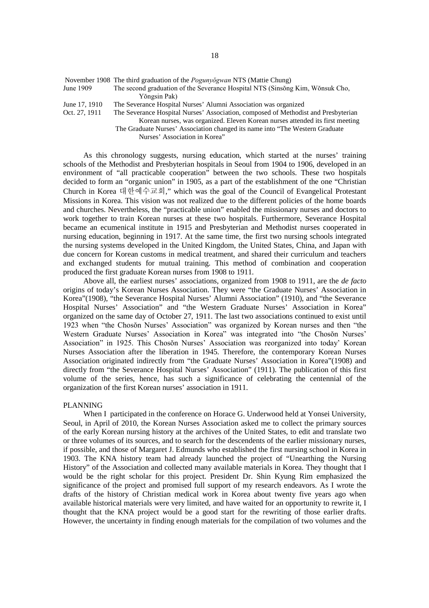|               | TO Venfoci 1700 The unit graduation of the Foguillog wall in 18 (matric Chung)     |
|---------------|------------------------------------------------------------------------------------|
| June 1909     | The second graduation of the Severance Hospital NTS (Sinsong Kim, Wonsuk Cho,      |
|               | Yŏngsin Pak)                                                                       |
| June 17, 1910 | The Severance Hospital Nurses' Alumni Association was organized                    |
| Oct. 27, 1911 | The Severance Hospital Nurses' Association, composed of Methodist and Presbyterian |

November 1908 The third graduation of the *Pogunyŏgwan* NTS (Mattie Chung)

Korean nurses, was organized. Eleven Korean nurses attended its first meeting The Graduate Nurses' Association changed its name into "The Western Graduate Nurses' Association in Korea"

As this chronology suggests, nursing education, which started at the nurses' training schools of the Methodist and Presbyterian hospitals in Seoul from 1904 to 1906, developed in an environment of "all practicable cooperation" between the two schools. These two hospitals decided to form an "organic union" in 1905, as a part of the establishment of the one "Christian Church in Korea 대한예수교회," which was the goal of the Council of Evangelical Protestant Missions in Korea. This vision was not realized due to the different policies of the home boards and churches. Nevertheless, the "practicable union" enabled the missionary nurses and doctors to work together to train Korean nurses at these two hospitals. Furthermore, Severance Hospital became an ecumenical institute in 1915 and Presbyterian and Methodist nurses cooperated in nursing education, beginning in 1917. At the same time, the first two nursing schools integrated the nursing systems developed in the United Kingdom, the United States, China, and Japan with due concern for Korean customs in medical treatment, and shared their curriculum and teachers and exchanged students for mutual training. This method of combination and cooperation produced the first graduate Korean nurses from 1908 to 1911.

Above all, the earliest nurses' associations, organized from 1908 to 1911, are the *de facto* origins of today's Korean Nurses Association. They were "the Graduate Nurses' Association in Korea"(1908), "the Severance Hospital Nurses' Alumni Association" (1910), and "the Severance Hospital Nurses' Association" and "the Western Graduate Nurses' Association in Korea" organized on the same day of October 27, 1911. The last two associations continued to exist until 1923 when "the Chosŏn Nurses' Association" was organized by Korean nurses and then "the Western Graduate Nurses' Association in Korea" was integrated into "the Chosŏn Nurses' Association" in 1925. This Chosŏn Nurses' Association was reorganized into today' Korean Nurses Association after the liberation in 1945. Therefore, the contemporary Korean Nurses Association originated indirectly from "the Graduate Nurses' Association in Korea"(1908) and directly from "the Severance Hospital Nurses' Association" (1911). The publication of this first volume of the series, hence, has such a significance of celebrating the centennial of the organization of the first Korean nurses' association in 1911.

#### PLANNING

When I participated in the conference on Horace G. Underwood held at Yonsei University, Seoul, in April of 2010, the Korean Nurses Association asked me to collect the primary sources of the early Korean nursing history at the archives of the United States, to edit and translate two or three volumes of its sources, and to search for the descendents of the earlier missionary nurses, if possible, and those of Margaret J. Edmunds who established the first nursing school in Korea in 1903. The KNA history team had already launched the project of "Unearthing the Nursing History" of the Association and collected many available materials in Korea. They thought that I would be the right scholar for this project. President Dr. Shin Kyung Rim emphasized the significance of the project and promised full support of my research endeavors. As I wrote the drafts of the history of Christian medical work in Korea about twenty five years ago when available historical materials were very limited, and have waited for an opportunity to rewrite it, I thought that the KNA project would be a good start for the rewriting of those earlier drafts. However, the uncertainty in finding enough materials for the compilation of two volumes and the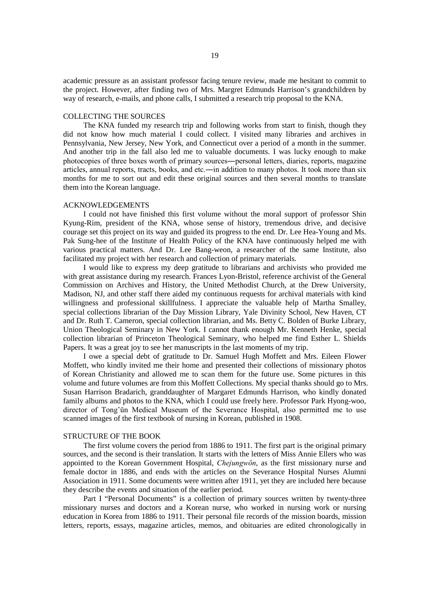academic pressure as an assistant professor facing tenure review, made me hesitant to commit to the project. However, after finding two of Mrs. Margret Edmunds Harrison's grandchildren by way of research, e-mails, and phone calls, I submitted a research trip proposal to the KNA.

#### COLLECTING THE SOURCES

The KNA funded my research trip and following works from start to finish, though they did not know how much material I could collect. I visited many libraries and archives in Pennsylvania, New Jersey, New York, and Connecticut over a period of a month in the summer. And another trip in the fall also led me to valuable documents. I was lucky enough to make photocopies of three boxes worth of primary sources―personal letters, diaries, reports, magazine articles, annual reports, tracts, books, and etc.―in addition to many photos. It took more than six months for me to sort out and edit these original sources and then several months to translate them into the Korean language.

#### ACKNOWLEDGEMENTS

I could not have finished this first volume without the moral support of professor Shin Kyung-Rim, president of the KNA, whose sense of history, tremendous drive, and decisive courage set this project on its way and guided its progress to the end. Dr. Lee Hea-Young and Ms. Pak Sung-hee of the Institute of Health Policy of the KNA have continuously helped me with various practical matters. And Dr. Lee Bang-weon, a researcher of the same Institute, also facilitated my project with her research and collection of primary materials.

I would like to express my deep gratitude to librarians and archivists who provided me with great assistance during my research. Frances Lyon-Bristol, reference archivist of the General Commission on Archives and History, the United Methodist Church, at the Drew University, Madison, NJ, and other staff there aided my continuous requests for archival materials with kind willingness and professional skillfulness. I appreciate the valuable help of Martha Smalley, special collections librarian of the Day Mission Library, Yale Divinity School, New Haven, CT and Dr. Ruth T. Cameron, special collection librarian, and Ms. Betty C. Bolden of Burke Library, Union Theological Seminary in New York. I cannot thank enough Mr. Kenneth Henke, special collection librarian of Princeton Theological Seminary, who helped me find Esther L. Shields Papers. It was a great joy to see her manuscripts in the last moments of my trip.

I owe a special debt of gratitude to Dr. Samuel Hugh Moffett and Mrs. Eileen Flower Moffett, who kindly invited me their home and presented their collections of missionary photos of Korean Christianity and allowed me to scan them for the future use. Some pictures in this volume and future volumes are from this Moffett Collections. My special thanks should go to Mrs. Susan Harrison Bradarich, granddaughter of Margaret Edmunds Harrison, who kindly donated family albums and photos to the KNA, which I could use freely here. Professor Park Hyong-woo, director of Tong'ŭn Medical Museum of the Severance Hospital, also permitted me to use scanned images of the first textbook of nursing in Korean, published in 1908.

#### STRUCTURE OF THE BOOK

The first volume covers the period from 1886 to 1911. The first part is the original primary sources, and the second is their translation. It starts with the letters of Miss Annie Ellers who was appointed to the Korean Government Hospital, *Chejungwŏn*, as the first missionary nurse and female doctor in 1886, and ends with the articles on the Severance Hospital Nurses Alumni Association in 1911. Some documents were written after 1911, yet they are included here because they describe the events and situation of the earlier period.

Part I "Personal Documents" is a collection of primary sources written by twenty-three missionary nurses and doctors and a Korean nurse, who worked in nursing work or nursing education in Korea from 1886 to 1911. Their personal file records of the mission boards, mission letters, reports, essays, magazine articles, memos, and obituaries are edited chronologically in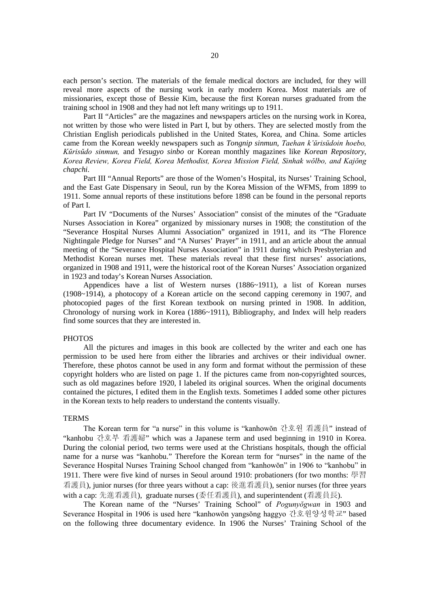each person's section. The materials of the female medical doctors are included, for they will reveal more aspects of the nursing work in early modern Korea. Most materials are of missionaries, except those of Bessie Kim, because the first Korean nurses graduated from the training school in 1908 and they had not left many writings up to 1911.

Part II "Articles" are the magazines and newspapers articles on the nursing work in Korea, not written by those who were listed in Part I, but by others. They are selected mostly from the Christian English periodicals published in the United States, Korea, and China. Some articles came from the Korean weekly newspapers such as *Tongnip sinmun*, *Taehan k'ŭrisŭdoin hoebo, Kŭrisŭdo sinmun,* and *Yesugyo sinbo* or Korean monthly magazines like *Korean Repository*, *Korea Review, Korea Field, Korea Methodist, Korea Mission Field, Sinhak wŏlbo, and Kajŏng chapchi*.

Part III "Annual Reports" are those of the Women's Hospital, its Nurses' Training School, and the East Gate Dispensary in Seoul, run by the Korea Mission of the WFMS, from 1899 to 1911. Some annual reports of these institutions before 1898 can be found in the personal reports of Part I.

Part IV "Documents of the Nurses' Association" consist of the minutes of the "Graduate Nurses Association in Korea" organized by missionary nurses in 1908; the constitution of the "Severance Hospital Nurses Alumni Association" organized in 1911, and its "The Florence Nightingale Pledge for Nurses" and "A Nurses' Prayer" in 1911, and an article about the annual meeting of the "Severance Hospital Nurses Association" in 1911 during which Presbyterian and Methodist Korean nurses met. These materials reveal that these first nurses' associations, organized in 1908 and 1911, were the historical root of the Korean Nurses' Association organized in 1923 and today's Korean Nurses Association.

Appendices have a list of Western nurses (1886~1911), a list of Korean nurses (1908~1914), a photocopy of a Korean article on the second capping ceremony in 1907, and photocopied pages of the first Korean textbook on nursing printed in 1908. In addition, Chronology of nursing work in Korea (1886~1911), Bibliography, and Index will help readers find some sources that they are interested in.

#### **PHOTOS**

All the pictures and images in this book are collected by the writer and each one has permission to be used here from either the libraries and archives or their individual owner. Therefore, these photos cannot be used in any form and format without the permission of these copyright holders who are listed on page 1. If the pictures came from non-copyrighted sources, such as old magazines before 1920, I labeled its original sources. When the original documents contained the pictures, I edited them in the English texts. Sometimes I added some other pictures in the Korean texts to help readers to understand the contents visually.

#### **TERMS**

The Korean term for "a nurse" in this volume is "kanhowŏn 간호원 看護員" instead of "kanhobu 간호부 看護婦" which was a Japanese term and used beginning in 1910 in Korea. During the colonial period, two terms were used at the Christians hospitals, though the official name for a nurse was "kanhobu." Therefore the Korean term for "nurses" in the name of the Severance Hospital Nurses Training School changed from "kanhowŏn" in 1906 to "kanhobu" in 1911. There were five kind of nurses in Seoul around 1910: probationers (for two months: 學習 看護員), junior nurses (for three years without a cap: 後進看護員), senior nurses (for three years with a cap: 先進看護員), graduate nurses (委任看護員), and superintendent (看護員長).

The Korean name of the "Nurses' Training School" of *Pogunyŏgwan* in 1903 and Severance Hospital in 1906 is used here "kanhowŏn yangsŏng haggyo 간호원양성학교" based on the following three documentary evidence. In 1906 the Nurses' Training School of the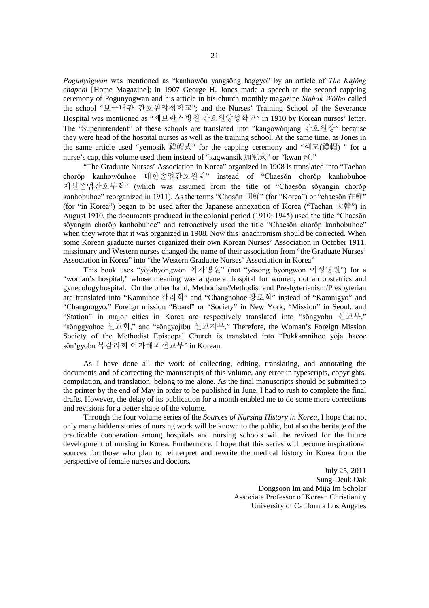*Pogunyŏgwan* was mentioned as "kanhowŏn yangsŏng haggyo" by an article of *The Kajŏng chapchi* [Home Magazine]; in 1907 George H. Jones made a speech at the second cappting ceremony of Pogunyogwan and his article in his church monthly magazine *Sinhak Wŏlbo* called the school "보구녀관 간호원양성학교"; and the Nurses' Training School of the Severance Hospital was mentioned as "세브란스병원 간호원양성학교" in 1910 by Korean nurses' letter. The "Superintendent" of these schools are translated into "kangowŏnjang 간호원장" because they were head of the hospital nurses as well as the training school. At the same time, as Jones in the same article used "yemosik 禮帽式" for the capping ceremony and "예모(禮帽) " for a nurse's cap, this volume used them instead of "kagwansik 加冠式" or "kwan 冠."

"The Graduate Nurses' Association in Korea" organized in 1908 is translated into "Taehan chorŏp kanhowŏnhoe 대한졸업간호원회" instead of "Chaesŏn chorŏp kanhobuhoe 재선졸업간호부회" (which was assumed from the title of "Chaesŏn sŏyangin chorŏp kanhobuhoe" reorganized in 1911). As the terms "Chosŏn 朝鮮" (for "Korea") or "chaesŏn 在鮮" (for "in Korea") began to be used after the Japanese annexation of Korea ("Taehan 大韓") in August 1910, the documents produced in the colonial period (1910~1945) used the title "Chaesŏn sŏyangin chorŏp kanhobuhoe" and retroactively used the title "Chaesŏn chorŏp kanhobuhoe" when they wrote that it was organized in 1908. Now this anachronism should be corrected. When some Korean graduate nurses organized their own Korean Nurses' Association in October 1911, missionary and Western nurses changed the name of their association from "the Graduate Nurses' Association in Korea" into "the Western Graduate Nurses' Association in Korea"

This book uses "yŏjabyŏngwŏn 여자병원" (not "yŏsŏng byŏngwŏn 여성병원") for a "woman's hospital," whose meaning was a general hospital for women, not an obstetrics and gynecologyhospital. On the other hand, Methodism/Methodist and Presbyterianism/Presbyterian are translated into "Kamnihoe 감리회" and "Changnohoe 장로회" instead of "Kamnigyo" and "Changnogyo." Foreign mission "Board" or "Society" in New York, "Mission" in Seoul, and "Station" in major cities in Korea are respectively translated into "sŏngyobu 선교부," "sŏnggyohoe 선교회," and "sŏngyojibu 선교지부." Therefore, the Woman's Foreign Mission Society of the Methodist Episcopal Church is translated into "Pukkamnihoe yŏja haeoe sŏn'gyobu 북감리회 여자해외선교부" in Korean.

As I have done all the work of collecting, editing, translating, and annotating the documents and of correcting the manuscripts of this volume, any error in typescripts, copyrights, compilation, and translation, belong to me alone. As the final manuscripts should be submitted to the printer by the end of May in order to be published in June, I had to rush to complete the final drafts. However, the delay of its publication for a month enabled me to do some more corrections and revisions for a better shape of the volume.

Through the four volume series of the *Sources of Nursing History in Korea*, I hope that not only many hidden stories of nursing work will be known to the public, but also the heritage of the practicable cooperation among hospitals and nursing schools will be revived for the future development of nursing in Korea. Furthermore, I hope that this series will become inspirational sources for those who plan to reinterpret and rewrite the medical history in Korea from the perspective of female nurses and doctors.

> July 25, 2011 Sung-Deuk Oak Dongsoon Im and Mija Im Scholar Associate Professor of Korean Christianity University of California Los Angeles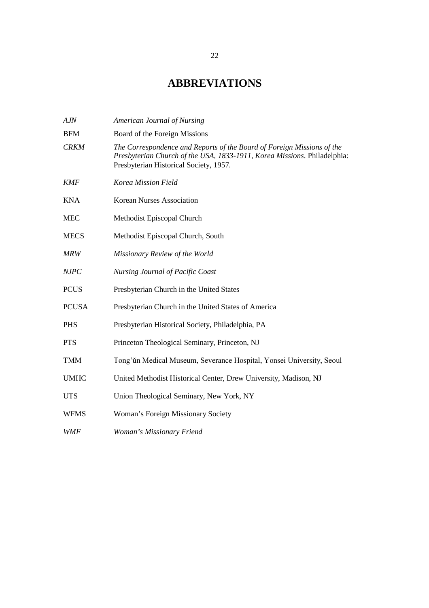### **ABBREVIATIONS**

| AJN          | American Journal of Nursing                                                                                                                                                                  |
|--------------|----------------------------------------------------------------------------------------------------------------------------------------------------------------------------------------------|
| <b>BFM</b>   | Board of the Foreign Missions                                                                                                                                                                |
| <b>CRKM</b>  | The Correspondence and Reports of the Board of Foreign Missions of the<br>Presbyterian Church of the USA, 1833-1911, Korea Missions. Philadelphia:<br>Presbyterian Historical Society, 1957. |
| <b>KMF</b>   | Korea Mission Field                                                                                                                                                                          |
| <b>KNA</b>   | <b>Korean Nurses Association</b>                                                                                                                                                             |
| <b>MEC</b>   | Methodist Episcopal Church                                                                                                                                                                   |
| <b>MECS</b>  | Methodist Episcopal Church, South                                                                                                                                                            |
| <b>MRW</b>   | Missionary Review of the World                                                                                                                                                               |
| <b>NJPC</b>  | <b>Nursing Journal of Pacific Coast</b>                                                                                                                                                      |
| <b>PCUS</b>  | Presbyterian Church in the United States                                                                                                                                                     |
| <b>PCUSA</b> | Presbyterian Church in the United States of America                                                                                                                                          |
| <b>PHS</b>   | Presbyterian Historical Society, Philadelphia, PA                                                                                                                                            |
| <b>PTS</b>   | Princeton Theological Seminary, Princeton, NJ                                                                                                                                                |
| <b>TMM</b>   | Tong'un Medical Museum, Severance Hospital, Yonsei University, Seoul                                                                                                                         |
| <b>UMHC</b>  | United Methodist Historical Center, Drew University, Madison, NJ                                                                                                                             |
| <b>UTS</b>   | Union Theological Seminary, New York, NY                                                                                                                                                     |
| <b>WFMS</b>  | Woman's Foreign Missionary Society                                                                                                                                                           |
| WMF          | Woman's Missionary Friend                                                                                                                                                                    |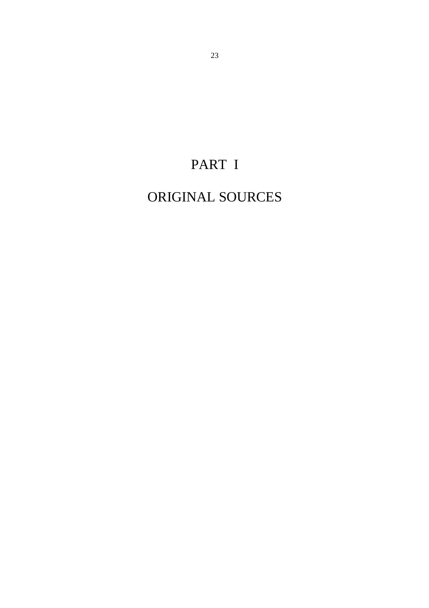# PART I

## ORIGINAL SOURCES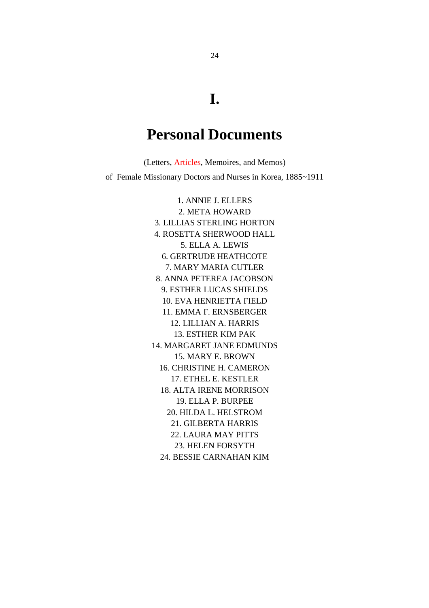### **I.**

### **Personal Documents**

(Letters, Articles, Memoires, and Memos) of Female Missionary Doctors and Nurses in Korea, 1885~1911

> 1. ANNIE J. ELLERS 2. META HOWARD 3. LILLIAS STERLING HORTON 4. ROSETTA SHERWOOD HALL 5. ELLA A. LEWIS 6. GERTRUDE HEATHCOTE 7. MARY MARIA CUTLER 8. ANNA PETEREA JACOBSON 9. ESTHER LUCAS SHIELDS 10. EVA HENRIETTA FIELD 11. EMMA F. ERNSBERGER 12. LILLIAN A. HARRIS 13. ESTHER KIM PAK 14. MARGARET JANE EDMUNDS 15. MARY E. BROWN 16. CHRISTINE H. CAMERON 17. ETHEL E. KESTLER 18. ALTA IRENE MORRISON 19. ELLA P. BURPEE 20. HILDA L. HELSTROM 21. GILBERTA HARRIS 22. LAURA MAY PITTS 23. HELEN FORSYTH 24. BESSIE CARNAHAN KIM